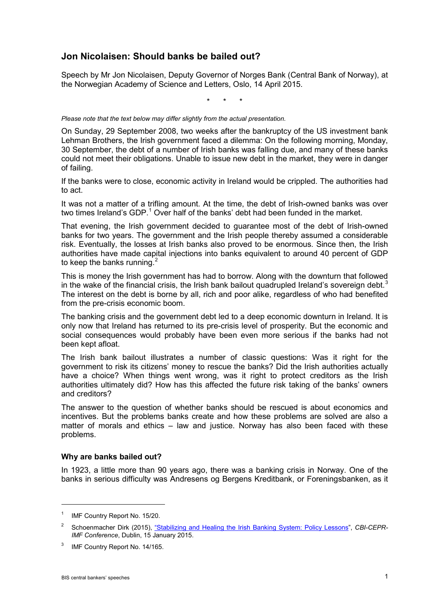# **Jon Nicolaisen: Should banks be bailed out?**

Speech by Mr Jon Nicolaisen, Deputy Governor of Norges Bank (Central Bank of Norway), at the Norwegian Academy of Science and Letters, Oslo, 14 April 2015.

\* \* \*

*Please note that the text below may differ slightly from the actual presentation.*

On Sunday, 29 September 2008, two weeks after the bankruptcy of the US investment bank Lehman Brothers, the Irish government faced a dilemma: On the following morning, Monday, 30 September, the debt of a number of Irish banks was falling due, and many of these banks could not meet their obligations. Unable to issue new debt in the market, they were in danger of failing.

If the banks were to close, economic activity in Ireland would be crippled. The authorities had to act.

It was not a matter of a trifling amount. At the time, the debt of Irish-owned banks was over two times Ireland's GDP.<sup>[1](#page-0-0)</sup> Over half of the banks' debt had been funded in the market.

That evening, the Irish government decided to guarantee most of the debt of Irish-owned banks for two years. The government and the Irish people thereby assumed a considerable risk. Eventually, the losses at Irish banks also proved to be enormous. Since then, the Irish authorities have made capital injections into banks equivalent to around 40 percent of GDP to keep the banks running. $<sup>2</sup>$  $<sup>2</sup>$  $<sup>2</sup>$ </sup>

This is money the Irish government has had to borrow. Along with the downturn that followed in the wake of the financial crisis, the Irish bank bailout quadrupled Ireland's sovereign debt.<sup>[3](#page-0-2)</sup> The interest on the debt is borne by all, rich and poor alike, regardless of who had benefited from the pre-crisis economic boom.

The banking crisis and the government debt led to a deep economic downturn in Ireland. It is only now that Ireland has returned to its pre-crisis level of prosperity. But the economic and social consequences would probably have been even more serious if the banks had not been kept afloat.

The Irish bank bailout illustrates a number of classic questions: Was it right for the government to risk its citizens' money to rescue the banks? Did the Irish authorities actually have a choice? When things went wrong, was it right to protect creditors as the Irish authorities ultimately did? How has this affected the future risk taking of the banks' owners and creditors?

The answer to the question of whether banks should be rescued is about economics and incentives. But the problems banks create and how these problems are solved are also a matter of morals and ethics – law and justice. Norway has also been faced with these problems.

#### **Why are banks bailed out?**

In 1923, a little more than 90 years ago, there was a banking crisis in Norway. One of the banks in serious difficulty was Andresens og Bergens Kreditbank, or Foreningsbanken, as it

<span id="page-0-0"></span><sup>&</sup>lt;sup>1</sup> IMF Country Report No. 15/20.

<span id="page-0-1"></span><sup>2</sup> Schoenmacher Dirk (2015), ["Stabilizing and Healing the Irish Banking System: Policy Lessons",](http://www.imf.org/external/np/seminars/eng/2014/ireland/pdf/Schoenmaker_IrishBanking.pdf) *CBI-CEPR-IMF Conference*, Dublin, 15 January 2015.

<span id="page-0-2"></span>IMF Country Report No. 14/165.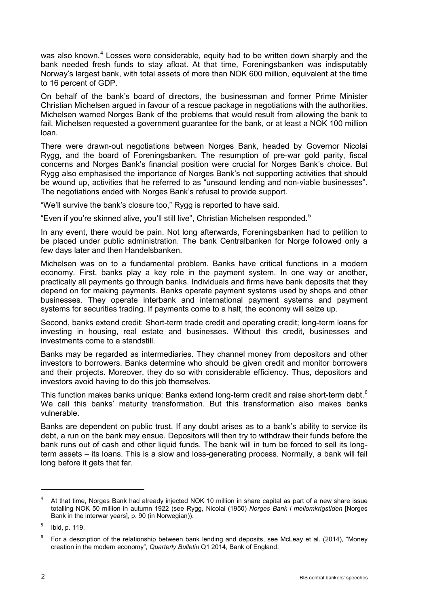was also known.<sup>[4](#page-1-0)</sup> Losses were considerable, equity had to be written down sharply and the bank needed fresh funds to stay afloat. At that time, Foreningsbanken was indisputably Norway's largest bank, with total assets of more than NOK 600 million, equivalent at the time to 16 percent of GDP.

On behalf of the bank's board of directors, the businessman and former Prime Minister Christian Michelsen argued in favour of a rescue package in negotiations with the authorities. Michelsen warned Norges Bank of the problems that would result from allowing the bank to fail. Michelsen requested a government guarantee for the bank, or at least a NOK 100 million loan.

There were drawn-out negotiations between Norges Bank, headed by Governor Nicolai Rygg, and the board of Foreningsbanken. The resumption of pre-war gold parity, fiscal concerns and Norges Bank's financial position were crucial for Norges Bank's choice. But Rygg also emphasised the importance of Norges Bank's not supporting activities that should be wound up, activities that he referred to as "unsound lending and non-viable businesses". The negotiations ended with Norges Bank's refusal to provide support.

"We'll survive the bank's closure too," Rygg is reported to have said.

"Even if you're skinned alive, you'll still live", Christian Michelsen responded.[5](#page-1-1)

In any event, there would be pain. Not long afterwards, Foreningsbanken had to petition to be placed under public administration. The bank Centralbanken for Norge followed only a few days later and then Handelsbanken.

Michelsen was on to a fundamental problem. Banks have critical functions in a modern economy. First, banks play a key role in the payment system. In one way or another, practically all payments go through banks. Individuals and firms have bank deposits that they depend on for making payments. Banks operate payment systems used by shops and other businesses. They operate interbank and international payment systems and payment systems for securities trading. If payments come to a halt, the economy will seize up.

Second, banks extend credit: Short-term trade credit and operating credit; long-term loans for investing in housing, real estate and businesses. Without this credit, businesses and investments come to a standstill.

Banks may be regarded as intermediaries. They channel money from depositors and other investors to borrowers. Banks determine who should be given credit and monitor borrowers and their projects. Moreover, they do so with considerable efficiency. Thus, depositors and investors avoid having to do this job themselves.

This function makes banks unique: Banks extend long-term credit and raise short-term debt.<sup>[6](#page-1-2)</sup> We call this banks' maturity transformation. But this transformation also makes banks vulnerable.

Banks are dependent on public trust. If any doubt arises as to a bank's ability to service its debt, a run on the bank may ensue. Depositors will then try to withdraw their funds before the bank runs out of cash and other liquid funds. The bank will in turn be forced to sell its longterm assets – its loans. This is a slow and loss-generating process. Normally, a bank will fail long before it gets that far.

<span id="page-1-0"></span><sup>4</sup> At that time, Norges Bank had already injected NOK 10 million in share capital as part of a new share issue totalling NOK 50 million in autumn 1922 (see Rygg, Nicolai (1950) *Norges Bank i mellomkrigstiden* [Norges Bank in the interwar years], p. 90 (in Norwegian)).

<span id="page-1-1"></span> $5$  Ibid, p. 119.

<span id="page-1-2"></span> $6$  For a description of the relationship between bank lending and deposits, see McLeay et al. (2014), "Money creation in the modern economy", *Quarterly Bulletin* Q1 2014, Bank of England.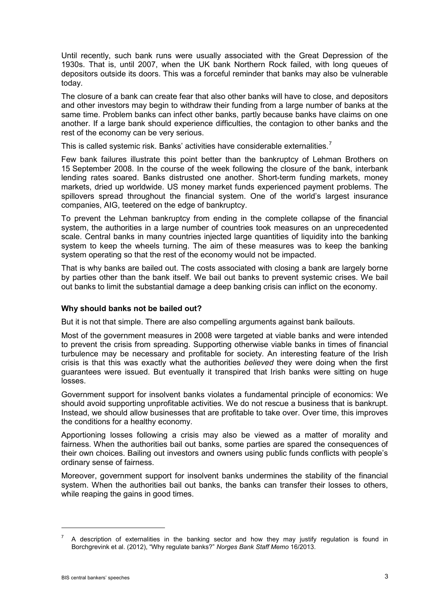Until recently, such bank runs were usually associated with the Great Depression of the 1930s. That is, until 2007, when the UK bank Northern Rock failed, with long queues of depositors outside its doors. This was a forceful reminder that banks may also be vulnerable today.

The closure of a bank can create fear that also other banks will have to close, and depositors and other investors may begin to withdraw their funding from a large number of banks at the same time. Problem banks can infect other banks, partly because banks have claims on one another. If a large bank should experience difficulties, the contagion to other banks and the rest of the economy can be very serious.

This is called systemic risk. Banks' activities have considerable externalities.<sup>[7](#page-2-0)</sup>

Few bank failures illustrate this point better than the bankruptcy of Lehman Brothers on 15 September 2008. In the course of the week following the closure of the bank, interbank lending rates soared. Banks distrusted one another. Short-term funding markets, money markets, dried up worldwide. US money market funds experienced payment problems. The spillovers spread throughout the financial system. One of the world's largest insurance companies, AIG, teetered on the edge of bankruptcy.

To prevent the Lehman bankruptcy from ending in the complete collapse of the financial system, the authorities in a large number of countries took measures on an unprecedented scale. Central banks in many countries injected large quantities of liquidity into the banking system to keep the wheels turning. The aim of these measures was to keep the banking system operating so that the rest of the economy would not be impacted.

That is why banks are bailed out. The costs associated with closing a bank are largely borne by parties other than the bank itself. We bail out banks to prevent systemic crises. We bail out banks to limit the substantial damage a deep banking crisis can inflict on the economy.

## **Why should banks not be bailed out?**

But it is not that simple. There are also compelling arguments against bank bailouts.

Most of the government measures in 2008 were targeted at viable banks and were intended to prevent the crisis from spreading. Supporting otherwise viable banks in times of financial turbulence may be necessary and profitable for society. An interesting feature of the Irish crisis is that this was exactly what the authorities *believed* they were doing when the first guarantees were issued. But eventually it transpired that Irish banks were sitting on huge losses.

Government support for insolvent banks violates a fundamental principle of economics: We should avoid supporting unprofitable activities. We do not rescue a business that is bankrupt. Instead, we should allow businesses that are profitable to take over. Over time, this improves the conditions for a healthy economy.

Apportioning losses following a crisis may also be viewed as a matter of morality and fairness. When the authorities bail out banks, some parties are spared the consequences of their own choices. Bailing out investors and owners using public funds conflicts with people's ordinary sense of fairness.

Moreover, government support for insolvent banks undermines the stability of the financial system. When the authorities bail out banks, the banks can transfer their losses to others, while reaping the gains in good times.

<span id="page-2-0"></span><sup>7</sup> A description of externalities in the banking sector and how they may justify regulation is found in Borchgrevink et al. (2012), "Why regulate banks?" *Norges Bank Staff Memo* 16/2013.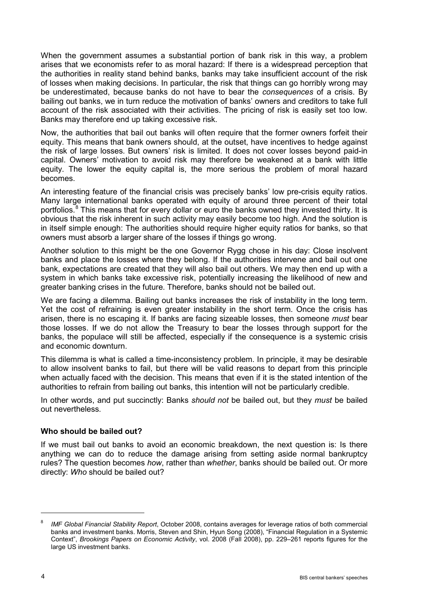When the government assumes a substantial portion of bank risk in this way, a problem arises that we economists refer to as moral hazard: If there is a widespread perception that the authorities in reality stand behind banks, banks may take insufficient account of the risk of losses when making decisions. In particular, the risk that things can go horribly wrong may be underestimated, because banks do not have to bear the *consequences* of a crisis. By bailing out banks, we in turn reduce the motivation of banks' owners and creditors to take full account of the risk associated with their activities. The pricing of risk is easily set too low. Banks may therefore end up taking excessive risk.

Now, the authorities that bail out banks will often require that the former owners forfeit their equity. This means that bank owners should, at the outset, have incentives to hedge against the risk of large losses. But owners' risk is limited. It does not cover losses beyond paid-in capital. Owners' motivation to avoid risk may therefore be weakened at a bank with little equity. The lower the equity capital is, the more serious the problem of moral hazard becomes.

An interesting feature of the financial crisis was precisely banks' low pre-crisis equity ratios. Many large international banks operated with equity of around three percent of their total portfolios.<sup>[8](#page-3-0)</sup> This means that for every dollar or euro the banks owned they invested thirty. It is obvious that the risk inherent in such activity may easily become too high. And the solution is in itself simple enough: The authorities should require higher equity ratios for banks, so that owners must absorb a larger share of the losses if things go wrong.

Another solution to this might be the one Governor Rygg chose in his day: Close insolvent banks and place the losses where they belong. If the authorities intervene and bail out one bank, expectations are created that they will also bail out others. We may then end up with a system in which banks take excessive risk, potentially increasing the likelihood of new and greater banking crises in the future. Therefore, banks should not be bailed out.

We are facing a dilemma. Bailing out banks increases the risk of instability in the long term. Yet the cost of refraining is even greater instability in the short term. Once the crisis has arisen, there is no escaping it. If banks are facing sizeable losses, then someone *must* bear those losses. If we do not allow the Treasury to bear the losses through support for the banks, the populace will still be affected, especially if the consequence is a systemic crisis and economic downturn.

This dilemma is what is called a time-inconsistency problem. In principle, it may be desirable to allow insolvent banks to fail, but there will be valid reasons to depart from this principle when actually faced with the decision. This means that even if it is the stated intention of the authorities to refrain from bailing out banks, this intention will not be particularly credible.

In other words, and put succinctly: Banks *should not* be bailed out, but they *must* be bailed out nevertheless.

## **Who should be bailed out?**

If we must bail out banks to avoid an economic breakdown, the next question is: Is there anything we can do to reduce the damage arising from setting aside normal bankruptcy rules? The question becomes *how*, rather than *whether*, banks should be bailed out. Or more directly: *Who* should be bailed out?

 $\overline{a}$ 

<span id="page-3-0"></span><sup>8</sup> *IMF Global Financial Stability Report*, October 2008, contains averages for leverage ratios of both commercial banks and investment banks. Morris, Steven and Shin, Hyun Song (2008), "Financial Regulation in a Systemic Context", *Brookings Papers on Economic Activity*, vol. 2008 (Fall 2008), pp. 229–261 reports figures for the large US investment banks.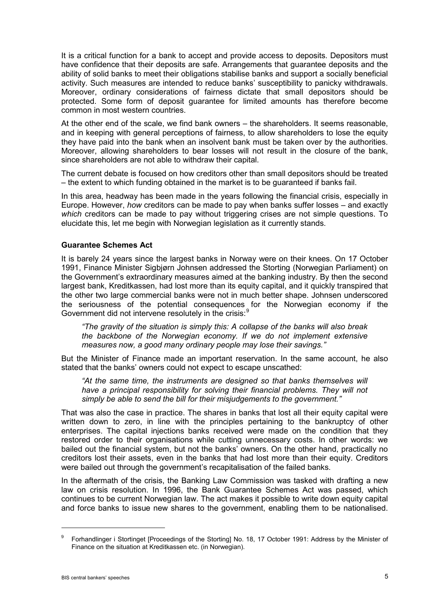It is a critical function for a bank to accept and provide access to deposits. Depositors must have confidence that their deposits are safe. Arrangements that guarantee deposits and the ability of solid banks to meet their obligations stabilise banks and support a socially beneficial activity. Such measures are intended to reduce banks' susceptibility to panicky withdrawals. Moreover, ordinary considerations of fairness dictate that small depositors should be protected. Some form of deposit guarantee for limited amounts has therefore become common in most western countries.

At the other end of the scale, we find bank owners – the shareholders. It seems reasonable, and in keeping with general perceptions of fairness, to allow shareholders to lose the equity they have paid into the bank when an insolvent bank must be taken over by the authorities. Moreover, allowing shareholders to bear losses will not result in the closure of the bank, since shareholders are not able to withdraw their capital.

The current debate is focused on how creditors other than small depositors should be treated – the extent to which funding obtained in the market is to be guaranteed if banks fail.

In this area, headway has been made in the years following the financial crisis, especially in Europe. However, *how* creditors can be made to pay when banks suffer losses – and exactly *which* creditors can be made to pay without triggering crises are not simple questions. To elucidate this, let me begin with Norwegian legislation as it currently stands.

## **Guarantee Schemes Act**

It is barely 24 years since the largest banks in Norway were on their knees. On 17 October 1991, Finance Minister Sigbjørn Johnsen addressed the Storting (Norwegian Parliament) on the Government's extraordinary measures aimed at the banking industry. By then the second largest bank, Kreditkassen, had lost more than its equity capital, and it quickly transpired that the other two large commercial banks were not in much better shape. Johnsen underscored the seriousness of the potential consequences for the Norwegian economy if the Government did not intervene resolutely in the crisis:<sup>[9](#page-4-0)</sup>

*"The gravity of the situation is simply this: A collapse of the banks will also break the backbone of the Norwegian economy. If we do not implement extensive measures now, a good many ordinary people may lose their savings."*

But the Minister of Finance made an important reservation. In the same account, he also stated that the banks' owners could not expect to escape unscathed:

*"At the same time, the instruments are designed so that banks themselves will*  have a principal responsibility for solving their financial problems. They will not *simply be able to send the bill for their misjudgements to the government."*

That was also the case in practice. The shares in banks that lost all their equity capital were written down to zero, in line with the principles pertaining to the bankruptcy of other enterprises. The capital injections banks received were made on the condition that they restored order to their organisations while cutting unnecessary costs. In other words: we bailed out the financial system, but not the banks' owners. On the other hand, practically no creditors lost their assets, even in the banks that had lost more than their equity. Creditors were bailed out through the government's recapitalisation of the failed banks.

In the aftermath of the crisis, the Banking Law Commission was tasked with drafting a new law on crisis resolution. In 1996, the Bank Guarantee Schemes Act was passed, which continues to be current Norwegian law. The act makes it possible to write down equity capital and force banks to issue new shares to the government, enabling them to be nationalised.

<span id="page-4-0"></span><sup>&</sup>lt;sup>9</sup> Forhandlinger i Stortinget [Proceedings of the Storting] No. 18, 17 October 1991: Address by the Minister of Finance on the situation at Kreditkassen etc. (in Norwegian).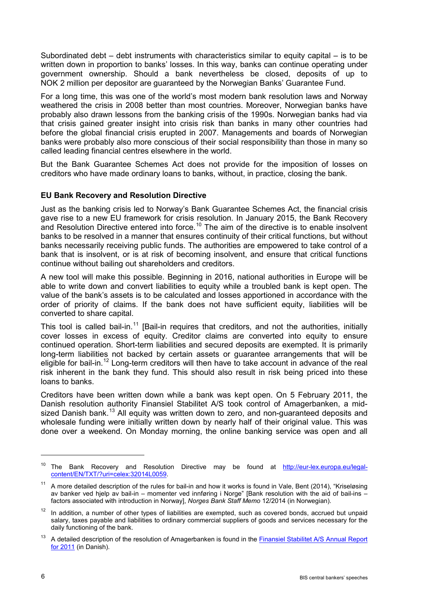Subordinated debt – debt instruments with characteristics similar to equity capital – is to be written down in proportion to banks' losses. In this way, banks can continue operating under government ownership. Should a bank nevertheless be closed, deposits of up to NOK 2 million per depositor are guaranteed by the Norwegian Banks' Guarantee Fund.

For a long time, this was one of the world's most modern bank resolution laws and Norway weathered the crisis in 2008 better than most countries. Moreover, Norwegian banks have probably also drawn lessons from the banking crisis of the 1990s. Norwegian banks had via that crisis gained greater insight into crisis risk than banks in many other countries had before the global financial crisis erupted in 2007. Managements and boards of Norwegian banks were probably also more conscious of their social responsibility than those in many so called leading financial centres elsewhere in the world.

But the Bank Guarantee Schemes Act does not provide for the imposition of losses on creditors who have made ordinary loans to banks, without, in practice, closing the bank.

#### **EU Bank Recovery and Resolution Directive**

Just as the banking crisis led to Norway's Bank Guarantee Schemes Act, the financial crisis gave rise to a new EU framework for crisis resolution. In January 2015, the Bank Recovery and Resolution Directive entered into force.<sup>[10](#page-5-0)</sup> The aim of the directive is to enable insolvent banks to be resolved in a manner that ensures continuity of their critical functions, but without banks necessarily receiving public funds. The authorities are empowered to take control of a bank that is insolvent, or is at risk of becoming insolvent, and ensure that critical functions continue without bailing out shareholders and creditors.

A new tool will make this possible. Beginning in 2016, national authorities in Europe will be able to write down and convert liabilities to equity while a troubled bank is kept open. The value of the bank's assets is to be calculated and losses apportioned in accordance with the order of priority of claims. If the bank does not have sufficient equity, liabilities will be converted to share capital.

This tool is called bail-in.<sup>[11](#page-5-1)</sup> [\[B](http://www.norges-bank.no/en/Published/Speeches/2015/2015-04-14-Nicolaisen-DNVA/%23footnotes)ail-in requires that creditors, and not the authorities, initially cover losses in excess of equity. Creditor claims are converted into equity to ensure continued operation. Short-term liabilities and secured deposits are exempted. It is primarily long-term liabilities not backed by certain assets or guarantee arrangements that will be eligible for bail-in.[12](#page-5-2) Long-term creditors will then have to take account in advance of the real risk inherent in the bank they fund. This should also result in risk being priced into these loans to banks.

Creditors have been written down while a bank was kept open. On 5 February 2011, the Danish resolution authority Finansiel Stabilitet A/S took control of Amagerbanken, a mid-sized Danish bank.<sup>[13](#page-5-3)</sup> All equity was written down to zero, and non-guaranteed deposits and wholesale funding were initially written down by nearly half of their original value. This was done over a weekend. On Monday morning, the online banking service was open and all

<span id="page-5-0"></span><sup>&</sup>lt;sup>10</sup> The Bank Recovery and Resolution Directive may be found at [http://eur-lex.europa.eu/legal](http://eur-lex.europa.eu/legal-content/EN/TXT/?uri=celex:32014L0059)[content/EN/TXT/?uri=celex:32014L0059.](http://eur-lex.europa.eu/legal-content/EN/TXT/?uri=celex:32014L0059)

<span id="page-5-1"></span><sup>&</sup>lt;sup>11</sup> A more detailed description of the rules for bail-in and how it works is found in Vale, Bent (2014), "Kriseløsing av banker ved hjelp av bail-in – momenter ved innføring i Norge" [Bank resolution with the aid of bail-ins – factors associated with introduction in Norway], *Norges Bank Staff Memo* 12/2014 (in Norwegian).

<span id="page-5-2"></span> $12$  In addition, a number of other types of liabilities are exempted, such as covered bonds, accrued but unpaid salary, taxes payable and liabilities to ordinary commercial suppliers of goods and services necessary for the daily functioning of the bank.

<span id="page-5-3"></span><sup>&</sup>lt;sup>13</sup> A detailed description of the resolution of Amagerbanken is found in the **Finansiel Stabilitet A/S Annual Report** [for 2011](https://www.finansielstabilitet.dk/Default.aspx?ID=128&M=NewsV2&PID=331&NewsID=82) (in Danish).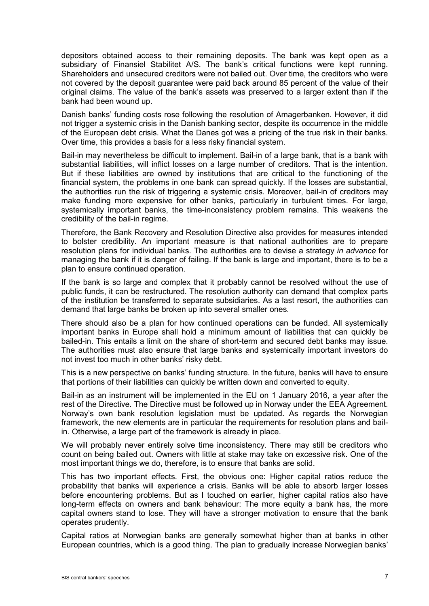depositors obtained access to their remaining deposits. The bank was kept open as a subsidiary of Finansiel Stabilitet A/S. The bank's critical functions were kept running. Shareholders and unsecured creditors were not bailed out. Over time, the creditors who were not covered by the deposit guarantee were paid back around 85 percent of the value of their original claims. The value of the bank's assets was preserved to a larger extent than if the bank had been wound up.

Danish banks' funding costs rose following the resolution of Amagerbanken. However, it did not trigger a systemic crisis in the Danish banking sector, despite its occurrence in the middle of the European debt crisis. What the Danes got was a pricing of the true risk in their banks. Over time, this provides a basis for a less risky financial system.

Bail-in may nevertheless be difficult to implement. Bail-in of a large bank, that is a bank with substantial liabilities, will inflict losses on a large number of creditors. That is the intention. But if these liabilities are owned by institutions that are critical to the functioning of the financial system, the problems in one bank can spread quickly. If the losses are substantial, the authorities run the risk of triggering a systemic crisis. Moreover, bail-in of creditors may make funding more expensive for other banks, particularly in turbulent times. For large, systemically important banks, the time-inconsistency problem remains. This weakens the credibility of the bail-in regime.

Therefore, the Bank Recovery and Resolution Directive also provides for measures intended to bolster credibility. An important measure is that national authorities are to prepare resolution plans for individual banks. The authorities are to devise a strategy *in advance* for managing the bank if it is danger of failing. If the bank is large and important, there is to be a plan to ensure continued operation.

If the bank is so large and complex that it probably cannot be resolved without the use of public funds, it can be restructured. The resolution authority can demand that complex parts of the institution be transferred to separate subsidiaries. As a last resort, the authorities can demand that large banks be broken up into several smaller ones.

There should also be a plan for how continued operations can be funded. All systemically important banks in Europe shall hold a minimum amount of liabilities that can quickly be bailed-in. This entails a limit on the share of short-term and secured debt banks may issue. The authorities must also ensure that large banks and systemically important investors do not invest too much in other banks' risky debt.

This is a new perspective on banks' funding structure. In the future, banks will have to ensure that portions of their liabilities can quickly be written down and converted to equity.

Bail-in as an instrument will be implemented in the EU on 1 January 2016, a year after the rest of the Directive. The Directive must be followed up in Norway under the EEA Agreement. Norway's own bank resolution legislation must be updated. As regards the Norwegian framework, the new elements are in particular the requirements for resolution plans and bailin. Otherwise, a large part of the framework is already in place.

We will probably never entirely solve time inconsistency. There may still be creditors who count on being bailed out. Owners with little at stake may take on excessive risk. One of the most important things we do, therefore, is to ensure that banks are solid.

This has two important effects. First, the obvious one: Higher capital ratios reduce the probability that banks will experience a crisis. Banks will be able to absorb larger losses before encountering problems. But as I touched on earlier, higher capital ratios also have long-term effects on owners and bank behaviour: The more equity a bank has, the more capital owners stand to lose. They will have a stronger motivation to ensure that the bank operates prudently.

Capital ratios at Norwegian banks are generally somewhat higher than at banks in other European countries, which is a good thing. The plan to gradually increase Norwegian banks'